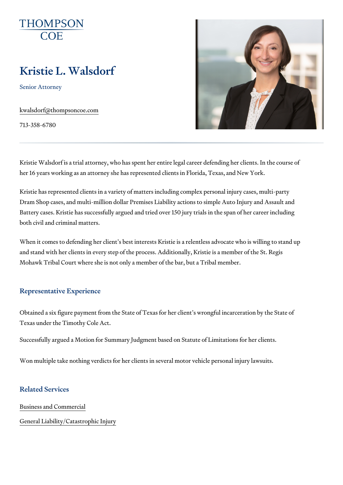# Kristie L. Walsdorf

Senior Attorney

[kwalsdorf@thomps](mailto:kwalsdorf@thompsoncoe.com)oncoe.com

713-358-6780

Kristie Walsdorf is a trial attorney, who has spent her entire legal career her 16 years working as an attorney she has represented clients in Florida

Kristie has represented clients in a variety of matters including complex p Dram Shop cases, and multi-million dollar Premises Liability actions to sin Battery cases. Kristie has successfully argued and tried over 150 jury tria both civil and criminal matters.

When it comes to defending her client s best interests Kristie is a relentle and stand with her clients in every step of the process. Additionally, Krist Mohawk Tribal Court where she is not only a member of the bar, but a Trib

### Representative Experience

Obtained a six figure payment from the State of Texas for her client s wrong Texas under the Timothy Cole Act.

Successfully argued a Motion for Summary Judgment based on Statute of L

Won multiple take nothing verdicts for her clients in several motor vehicle

## Related Services

[Business and C](https://www.thompsoncoe.com/people/kristie-l-walsdorf/)ommercial

### [General Liability/Catas](https://www.thompsoncoe.com/people/kristie-l-walsdorf/)trophic Injury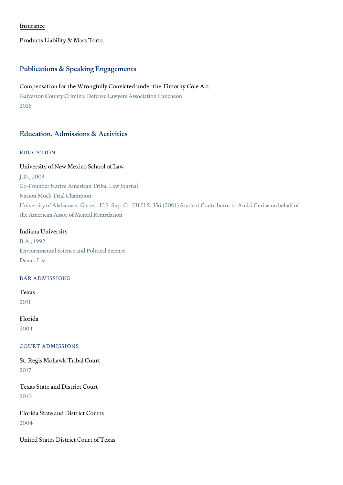#### [Insura](https://www.thompsoncoe.com/people/kristie-l-walsdorf/)nce

#### [Products Liability &](https://www.thompsoncoe.com/people/kristie-l-walsdorf/) Mass Torts

## Publications & Speaking Engagements

Compensation for the Wrongfully Convicted under the Timothy Cole Act Galveston County Criminal Defense Lawyers Association Luncheon 2016

## Education, Admissions & Activities

## EDUCATION

#### University of New Mexico School of Law

J.D., 2003 Co-Founder Native American Tribal Law Journal Nation Mock Trial Champion University of Alabama v. Garrett U.S. Sup. Ct. 531 U.S. 356 (2001) Student Con the American Assoc of Mental Retardation

## Indiana University

B.A., 1992 Enviornmental Science and Political Science Dean's List

#### BAR ADMISSIONS

Texas 2011

## Florida 2004

#### COURT ADMISSIONS

St. Regis Mohawk Tribal Court 2017

Texas State and District Court 2010

Florida State and District Courts 2004

United States District Court of Texas